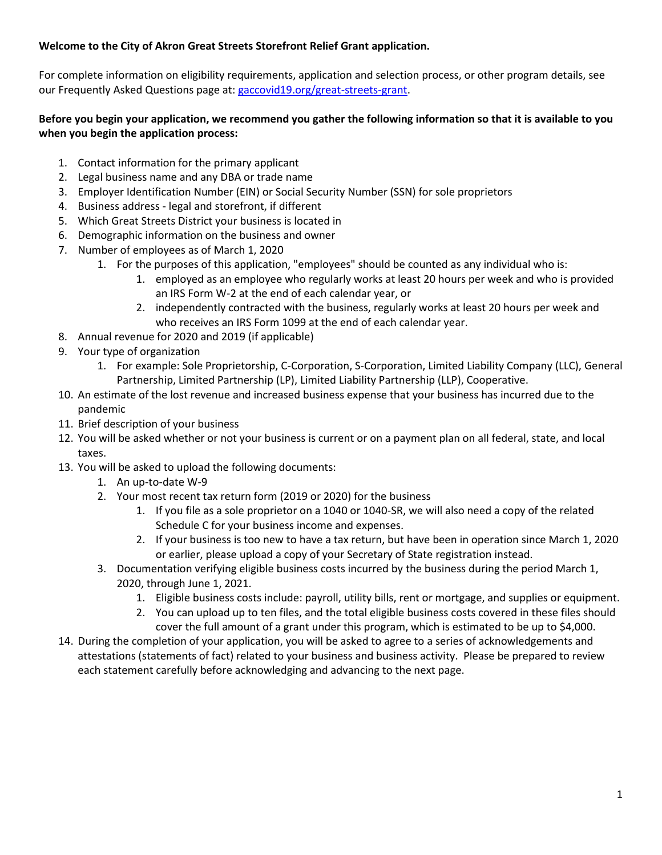# **Welcome to the City of Akron Great Streets Storefront Relief Grant application.**

For complete information on eligibility requirements, application and selection process, or other program details, see our Frequently Asked Questions page at: [gaccovid19.org/great-streets-grant.](http://gaccovid19.org/great-streets-grant)

# **Before you begin your application, we recommend you gather the following information so that it is available to you when you begin the application process:**

- 1. Contact information for the primary applicant
- 2. Legal business name and any DBA or trade name
- 3. Employer Identification Number (EIN) or Social Security Number (SSN) for sole proprietors
- 4. Business address legal and storefront, if different
- 5. Which Great Streets District your business is located in
- 6. Demographic information on the business and owner
- 7. Number of employees as of March 1, 2020
	- 1. For the purposes of this application, "employees" should be counted as any individual who is:
		- 1. employed as an employee who regularly works at least 20 hours per week and who is provided an IRS Form W-2 at the end of each calendar year, or
		- 2. independently contracted with the business, regularly works at least 20 hours per week and who receives an IRS Form 1099 at the end of each calendar year.
- 8. Annual revenue for 2020 and 2019 (if applicable)
- 9. Your type of organization
	- 1. For example: Sole Proprietorship, C-Corporation, S-Corporation, Limited Liability Company (LLC), General Partnership, Limited Partnership (LP), Limited Liability Partnership (LLP), Cooperative.
- 10. An estimate of the lost revenue and increased business expense that your business has incurred due to the pandemic
- 11. Brief description of your business
- 12. You will be asked whether or not your business is current or on a payment plan on all federal, state, and local taxes.
- 13. You will be asked to upload the following documents:
	- 1. An up-to-date W-9
	- 2. Your most recent tax return form (2019 or 2020) for the business
		- 1. If you file as a sole proprietor on a 1040 or 1040-SR, we will also need a copy of the related Schedule C for your business income and expenses.
		- 2. If your business is too new to have a tax return, but have been in operation since March 1, 2020 or earlier, please upload a copy of your Secretary of State registration instead.
	- 3. Documentation verifying eligible business costs incurred by the business during the period March 1, 2020, through June 1, 2021.
		- 1. Eligible business costs include: payroll, utility bills, rent or mortgage, and supplies or equipment.
		- 2. You can upload up to ten files, and the total eligible business costs covered in these files should cover the full amount of a grant under this program, which is estimated to be up to \$4,000.
- 14. During the completion of your application, you will be asked to agree to a series of acknowledgements and attestations (statements of fact) related to your business and business activity. Please be prepared to review each statement carefully before acknowledging and advancing to the next page.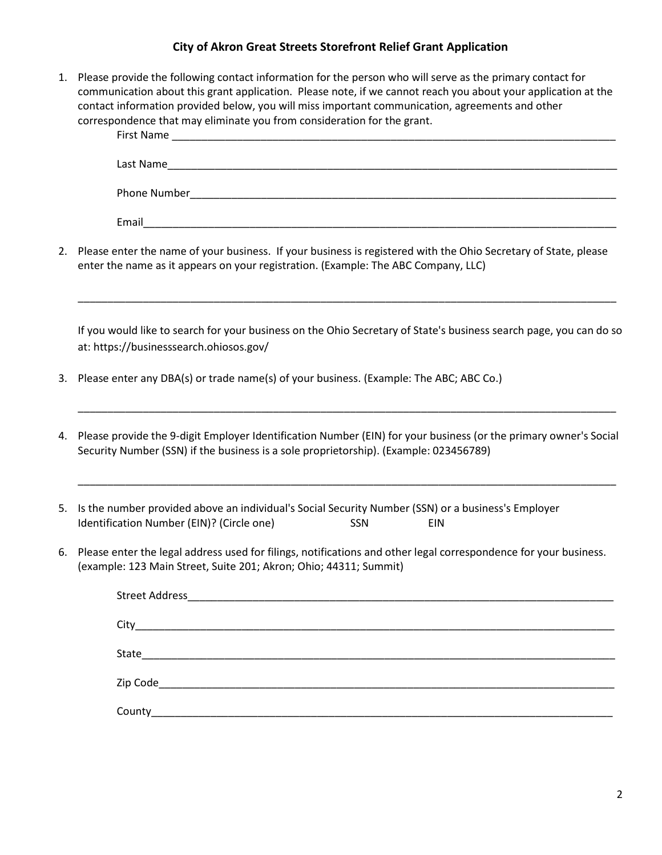## **City of Akron Great Streets Storefront Relief Grant Application**

1. Please provide the following contact information for the person who will serve as the primary contact for communication about this grant application. Please note, if we cannot reach you about your application at the contact information provided below, you will miss important communication, agreements and other correspondence that may eliminate you from consideration for the grant.

| First Name          |
|---------------------|
| Last Name           |
| <b>Phone Number</b> |
| Email               |

2. Please enter the name of your business. If your business is registered with the Ohio Secretary of State, please enter the name as it appears on your registration. (Example: The ABC Company, LLC)

If you would like to search for your business on the Ohio Secretary of State's business search page, you can do so at: https://businesssearch.ohiosos.gov/

\_\_\_\_\_\_\_\_\_\_\_\_\_\_\_\_\_\_\_\_\_\_\_\_\_\_\_\_\_\_\_\_\_\_\_\_\_\_\_\_\_\_\_\_\_\_\_\_\_\_\_\_\_\_\_\_\_\_\_\_\_\_\_\_\_\_\_\_\_\_\_\_\_\_\_\_\_\_\_\_\_\_\_\_\_\_\_\_\_\_\_

- 3. Please enter any DBA(s) or trade name(s) of your business. (Example: The ABC; ABC Co.)
- 4. Please provide the 9-digit Employer Identification Number (EIN) for your business (or the primary owner's Social Security Number (SSN) if the business is a sole proprietorship). (Example: 023456789)

\_\_\_\_\_\_\_\_\_\_\_\_\_\_\_\_\_\_\_\_\_\_\_\_\_\_\_\_\_\_\_\_\_\_\_\_\_\_\_\_\_\_\_\_\_\_\_\_\_\_\_\_\_\_\_\_\_\_\_\_\_\_\_\_\_\_\_\_\_\_\_\_\_\_\_\_\_\_\_\_\_\_\_\_\_\_\_\_\_\_\_

\_\_\_\_\_\_\_\_\_\_\_\_\_\_\_\_\_\_\_\_\_\_\_\_\_\_\_\_\_\_\_\_\_\_\_\_\_\_\_\_\_\_\_\_\_\_\_\_\_\_\_\_\_\_\_\_\_\_\_\_\_\_\_\_\_\_\_\_\_\_\_\_\_\_\_\_\_\_\_\_\_\_\_\_\_\_\_\_\_\_\_

- 5. Is the number provided above an individual's Social Security Number (SSN) or a business's Employer Identification Number (EIN)? (Circle one) SSN SSN EIN
- 6. Please enter the legal address used for filings, notifications and other legal correspondence for your business. (example: 123 Main Street, Suite 201; Akron; Ohio; 44311; Summit)

| County_ |  |  |
|---------|--|--|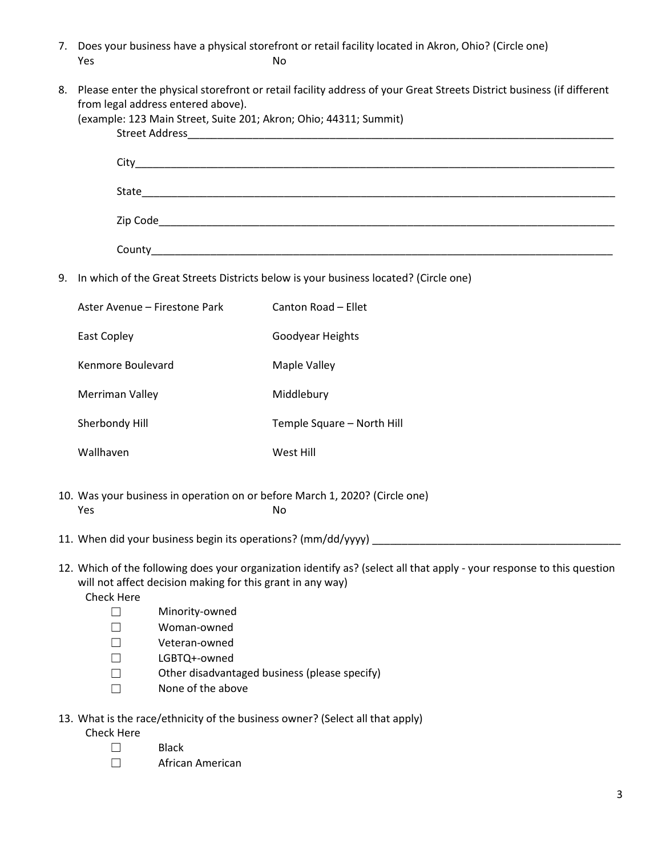- 7. Does your business have a physical storefront or retail facility located in Akron, Ohio? (Circle one) **Yes** No
- 8. Please enter the physical storefront or retail facility address of your Great Streets District business (if different from legal address entered above).

|                                                                                            | (example: 123 Main Street, Suite 201; Akron; Ohio; 44311; Summit)                                                                                                                                         |                                               |  |  |
|--------------------------------------------------------------------------------------------|-----------------------------------------------------------------------------------------------------------------------------------------------------------------------------------------------------------|-----------------------------------------------|--|--|
|                                                                                            |                                                                                                                                                                                                           |                                               |  |  |
|                                                                                            |                                                                                                                                                                                                           |                                               |  |  |
|                                                                                            |                                                                                                                                                                                                           |                                               |  |  |
|                                                                                            |                                                                                                                                                                                                           |                                               |  |  |
| 9.<br>In which of the Great Streets Districts below is your business located? (Circle one) |                                                                                                                                                                                                           |                                               |  |  |
|                                                                                            | Aster Avenue - Firestone Park                                                                                                                                                                             | Canton Road - Ellet                           |  |  |
|                                                                                            | East Copley                                                                                                                                                                                               | Goodyear Heights                              |  |  |
|                                                                                            | Kenmore Boulevard                                                                                                                                                                                         | Maple Valley                                  |  |  |
|                                                                                            | Merriman Valley                                                                                                                                                                                           | Middlebury                                    |  |  |
|                                                                                            | Sherbondy Hill                                                                                                                                                                                            | Temple Square - North Hill                    |  |  |
|                                                                                            | Wallhaven                                                                                                                                                                                                 | West Hill                                     |  |  |
|                                                                                            | 10. Was your business in operation on or before March 1, 2020? (Circle one)<br>Yes<br>No                                                                                                                  |                                               |  |  |
|                                                                                            |                                                                                                                                                                                                           |                                               |  |  |
|                                                                                            | 12. Which of the following does your organization identify as? (select all that apply - your response to this question<br>will not affect decision making for this grant in any way)<br><b>Check Here</b> |                                               |  |  |
|                                                                                            | $\Box$                                                                                                                                                                                                    | Minority-owned                                |  |  |
|                                                                                            | $\vert \ \ \vert$                                                                                                                                                                                         | Woman-owned                                   |  |  |
|                                                                                            | $\vert \ \ \vert$                                                                                                                                                                                         | Veteran-owned                                 |  |  |
|                                                                                            |                                                                                                                                                                                                           | LGBTQ+-owned                                  |  |  |
|                                                                                            |                                                                                                                                                                                                           | Other disadvantaged business (please specify) |  |  |
|                                                                                            |                                                                                                                                                                                                           | None of the above                             |  |  |

13. What is the race/ethnicity of the business owner? (Select all that apply)

Check Here

- ☐ Black
- ☐ African American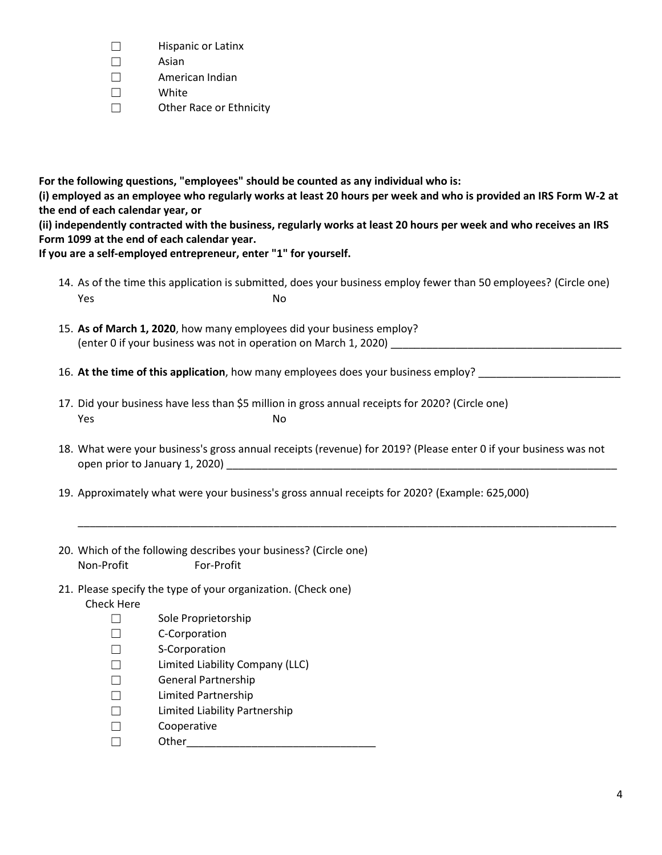- ☐ Hispanic or Latinx
- ☐ Asian
- $\Box$  American Indian
- ☐ White
- ☐ Other Race or Ethnicity

**For the following questions, "employees" should be counted as any individual who is: (i) employed as an employee who regularly works at least 20 hours per week and who is provided an IRS Form W-2 at the end of each calendar year, or**

**(ii) independently contracted with the business, regularly works at least 20 hours per week and who receives an IRS Form 1099 at the end of each calendar year.**

**If you are a self-employed entrepreneur, enter "1" for yourself.**

- 14. As of the time this application is submitted, does your business employ fewer than 50 employees? (Circle one) **Yes** No
- 15. **As of March 1, 2020**, how many employees did your business employ? (enter 0 if your business was not in operation on March 1, 2020)
- 16. **At the time of this application**, how many employees does your business employ? \_\_\_\_\_\_\_\_\_\_\_\_\_\_\_\_\_\_\_\_\_\_\_\_
- 17. Did your business have less than \$5 million in gross annual receipts for 2020? (Circle one) **Yes** No
- 18. What were your business's gross annual receipts (revenue) for 2019? (Please enter 0 if your business was not open prior to January 1, 2020)

\_\_\_\_\_\_\_\_\_\_\_\_\_\_\_\_\_\_\_\_\_\_\_\_\_\_\_\_\_\_\_\_\_\_\_\_\_\_\_\_\_\_\_\_\_\_\_\_\_\_\_\_\_\_\_\_\_\_\_\_\_\_\_\_\_\_\_\_\_\_\_\_\_\_\_\_\_\_\_\_\_\_\_\_\_\_\_\_\_\_\_

- 19. Approximately what were your business's gross annual receipts for 2020? (Example: 625,000)
- 20. Which of the following describes your business? (Circle one) Non-Profit For-Profit
- 21. Please specify the type of your organization. (Check one) Check Here
	- ☐ Sole Proprietorship
	- ☐ C-Corporation
	- ☐ S-Corporation
	- ☐ Limited Liability Company (LLC)
	- ☐ General Partnership
	- ☐ Limited Partnership
	- ☐ Limited Liability Partnership
	- ☐ Cooperative
	- ☐ Other\_\_\_\_\_\_\_\_\_\_\_\_\_\_\_\_\_\_\_\_\_\_\_\_\_\_\_\_\_\_\_\_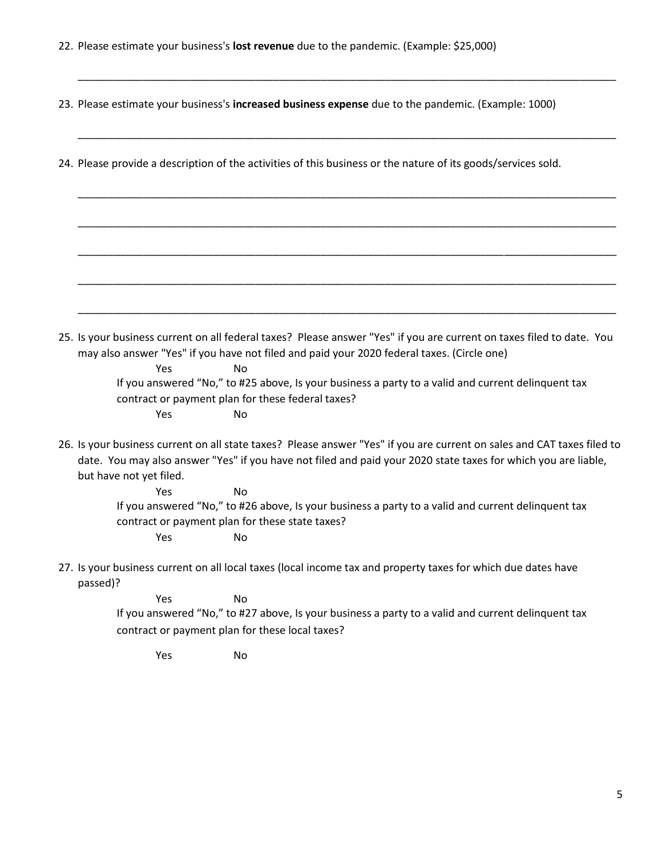22. Please estimate your business's **lost revenue** due to the pandemic. (Example: \$25,000)

23. Please estimate your business's **increased business expense** due to the pandemic. (Example: 1000)

\_\_\_\_\_\_\_\_\_\_\_\_\_\_\_\_\_\_\_\_\_\_\_\_\_\_\_\_\_\_\_\_\_\_\_\_\_\_\_\_\_\_\_\_\_\_\_\_\_\_\_\_\_\_\_\_\_\_\_\_\_\_\_\_\_\_\_\_\_\_\_\_\_\_\_\_\_\_\_\_\_\_\_\_\_\_\_\_\_\_\_

\_\_\_\_\_\_\_\_\_\_\_\_\_\_\_\_\_\_\_\_\_\_\_\_\_\_\_\_\_\_\_\_\_\_\_\_\_\_\_\_\_\_\_\_\_\_\_\_\_\_\_\_\_\_\_\_\_\_\_\_\_\_\_\_\_\_\_\_\_\_\_\_\_\_\_\_\_\_\_\_\_\_\_\_\_\_\_\_\_\_\_

\_\_\_\_\_\_\_\_\_\_\_\_\_\_\_\_\_\_\_\_\_\_\_\_\_\_\_\_\_\_\_\_\_\_\_\_\_\_\_\_\_\_\_\_\_\_\_\_\_\_\_\_\_\_\_\_\_\_\_\_\_\_\_\_\_\_\_\_\_\_\_\_\_\_\_\_\_\_\_\_\_\_\_\_\_\_\_\_\_\_\_

\_\_\_\_\_\_\_\_\_\_\_\_\_\_\_\_\_\_\_\_\_\_\_\_\_\_\_\_\_\_\_\_\_\_\_\_\_\_\_\_\_\_\_\_\_\_\_\_\_\_\_\_\_\_\_\_\_\_\_\_\_\_\_\_\_\_\_\_\_\_\_\_\_\_\_\_\_\_\_\_\_\_\_\_\_\_\_\_\_\_\_

\_\_\_\_\_\_\_\_\_\_\_\_\_\_\_\_\_\_\_\_\_\_\_\_\_\_\_\_\_\_\_\_\_\_\_\_\_\_\_\_\_\_\_\_\_\_\_\_\_\_\_\_\_\_\_\_\_\_\_\_\_\_\_\_\_\_\_\_\_\_\_\_\_\_\_\_\_\_\_\_\_\_\_\_\_\_\_\_\_\_\_

\_\_\_\_\_\_\_\_\_\_\_\_\_\_\_\_\_\_\_\_\_\_\_\_\_\_\_\_\_\_\_\_\_\_\_\_\_\_\_\_\_\_\_\_\_\_\_\_\_\_\_\_\_\_\_\_\_\_\_\_\_\_\_\_\_\_\_\_\_\_\_\_\_\_\_\_\_\_\_\_\_\_\_\_\_\_\_\_\_\_\_

\_\_\_\_\_\_\_\_\_\_\_\_\_\_\_\_\_\_\_\_\_\_\_\_\_\_\_\_\_\_\_\_\_\_\_\_\_\_\_\_\_\_\_\_\_\_\_\_\_\_\_\_\_\_\_\_\_\_\_\_\_\_\_\_\_\_\_\_\_\_\_\_\_\_\_\_\_\_\_\_\_\_\_\_\_\_\_\_\_\_\_

24. Please provide a description of the activities of this business or the nature of its goods/services sold.

25. Is your business current on all federal taxes? Please answer "Yes" if you are current on taxes filed to date. You may also answer "Yes" if you have not filed and paid your 2020 federal taxes. (Circle one)

> Yes No If you answered "No," to #25 above, Is your business a party to a valid and current delinquent tax contract or payment plan for these federal taxes? Yes No

26. Is your business current on all state taxes? Please answer "Yes" if you are current on sales and CAT taxes filed to date. You may also answer "Yes" if you have not filed and paid your 2020 state taxes for which you are liable, but have not yet filed.

Yes No If you answered "No," to #26 above, Is your business a party to a valid and current delinquent tax contract or payment plan for these state taxes? Yes No

27. Is your business current on all local taxes (local income tax and property taxes for which due dates have passed)?

> Yes No If you answered "No," to #27 above, Is your business a party to a valid and current delinquent tax contract or payment plan for these local taxes?

Yes No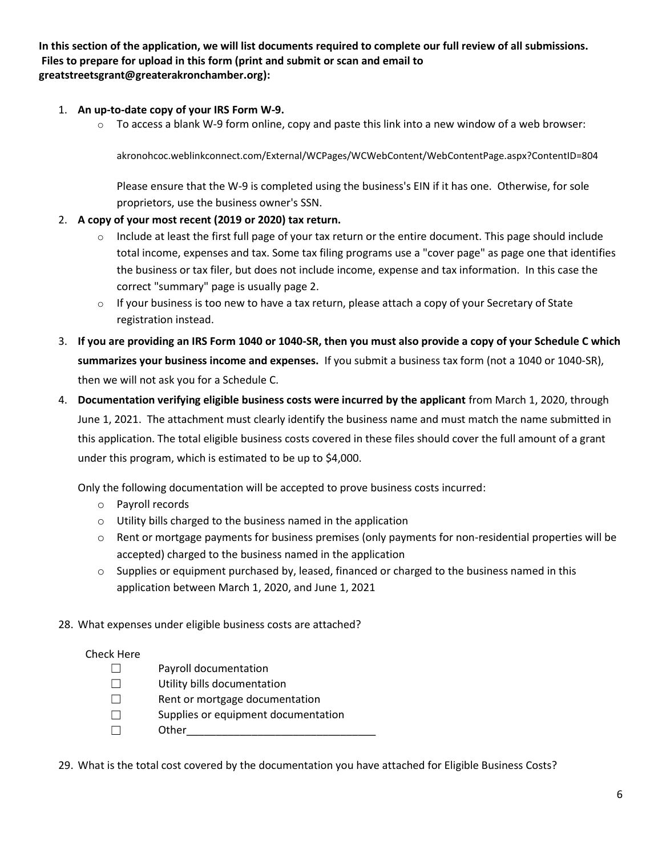**In this section of the application, we will list documents required to complete our full review of all submissions. Files to prepare for upload in this form (print and submit or scan and email to greatstreetsgrant@greaterakronchamber.org):**

- 1. **An up-to-date copy of your IRS Form W-9.** 
	- $\circ$  To access a blank W-9 form online, copy and paste this link into a new window of a web browser:

akronohcoc.weblinkconnect.com/External/WCPages/WCWebContent/WebContentPage.aspx?ContentID=804

Please ensure that the W-9 is completed using the business's EIN if it has one. Otherwise, for sole proprietors, use the business owner's SSN.

- 2. **A copy of your most recent (2019 or 2020) tax return.**
	- $\circ$  Include at least the first full page of your tax return or the entire document. This page should include total income, expenses and tax. Some tax filing programs use a "cover page" as page one that identifies the business or tax filer, but does not include income, expense and tax information. In this case the correct "summary" page is usually page 2.
	- $\circ$  If your business is too new to have a tax return, please attach a copy of your Secretary of State registration instead.
- 3. **If you are providing an IRS Form 1040 or 1040-SR, then you must also provide a copy of your Schedule C which summarizes your business income and expenses.** If you submit a business tax form (not a 1040 or 1040-SR), then we will not ask you for a Schedule C.
- 4. **Documentation verifying eligible business costs were incurred by the applicant** from March 1, 2020, through June 1, 2021. The attachment must clearly identify the business name and must match the name submitted in this application. The total eligible business costs covered in these files should cover the full amount of a grant under this program, which is estimated to be up to \$4,000.

Only the following documentation will be accepted to prove business costs incurred:

- o Payroll records
- o Utility bills charged to the business named in the application
- o Rent or mortgage payments for business premises (only payments for non-residential properties will be accepted) charged to the business named in the application
- $\circ$  Supplies or equipment purchased by, leased, financed or charged to the business named in this application between March 1, 2020, and June 1, 2021
- 28. What expenses under eligible business costs are attached?

#### Check Here

- ☐ Payroll documentation
- ☐ Utility bills documentation
- ☐ Rent or mortgage documentation
- ☐ Supplies or equipment documentation
- ☐ Other\_\_\_\_\_\_\_\_\_\_\_\_\_\_\_\_\_\_\_\_\_\_\_\_\_\_\_\_\_\_\_\_

29. What is the total cost covered by the documentation you have attached for Eligible Business Costs?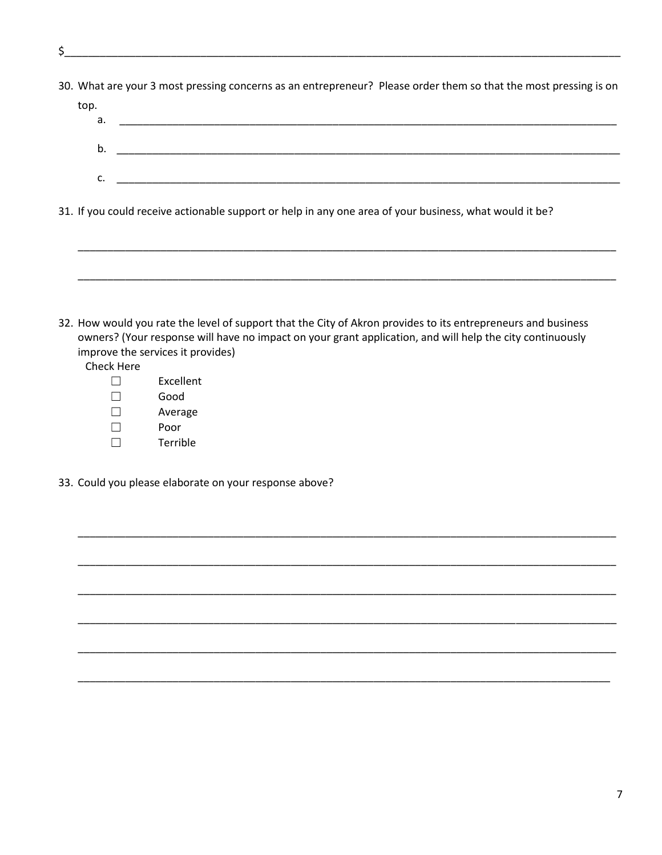- \$
- 30. What are your 3 most pressing concerns as an entrepreneur? Please order them so that the most pressing is on

| top. |  |
|------|--|
| а.   |  |
|      |  |
| b.   |  |
|      |  |
| c.   |  |
|      |  |

31. If you could receive actionable support or help in any one area of your business, what would it be?

32. How would you rate the level of support that the City of Akron provides to its entrepreneurs and business owners? (Your response will have no impact on your grant application, and will help the city continuously improve the services it provides)

Check Here

- $\Box$ Excellent  $\Box$ Good
- $\Box$ Average
- $\Box$ Poor
- Terrible  $\Box$
- 33. Could you please elaborate on your response above?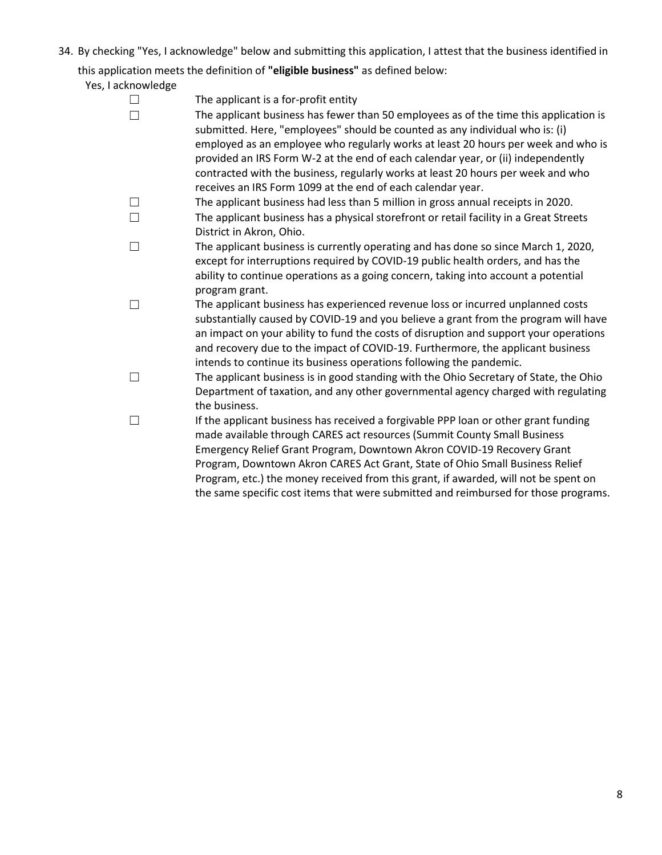34. By checking "Yes, I acknowledge" below and submitting this application, I attest that the business identified in

this application meets the definition of **"eligible business"** as defined below:

Yes, I acknowledge

| The applicant is a for-profit entity                                                   |
|----------------------------------------------------------------------------------------|
| The applicant business has fewer than 50 employees as of the time this application is  |
| submitted. Here, "employees" should be counted as any individual who is: (i)           |
| employed as an employee who regularly works at least 20 hours per week and who is      |
| provided an IRS Form W-2 at the end of each calendar year, or (ii) independently       |
| contracted with the business, regularly works at least 20 hours per week and who       |
| receives an IRS Form 1099 at the end of each calendar year.                            |
| The applicant business had less than 5 million in gross annual receipts in 2020.       |
| The applicant business has a physical storefront or retail facility in a Great Streets |
| District in Akron, Ohio.                                                               |
| The applicant business is currently operating and has done so since March 1, 2020,     |
| except for interruptions required by COVID-19 public health orders, and has the        |
| ability to continue operations as a going concern, taking into account a potential     |
| program grant.                                                                         |
| The applicant business has experienced revenue loss or incurred unplanned costs        |
| substantially caused by COVID-19 and you believe a grant from the program will have    |
| an impact on your ability to fund the costs of disruption and support your operations  |
| and recovery due to the impact of COVID-19. Furthermore, the applicant business        |
| intends to continue its business operations following the pandemic.                    |
| The applicant business is in good standing with the Ohio Secretary of State, the Ohio  |
| Department of taxation, and any other governmental agency charged with regulating      |
| the business.                                                                          |
| If the applicant business has received a forgivable PPP loan or other grant funding    |
| made available through CARES act resources (Summit County Small Business               |
| Emergency Relief Grant Program, Downtown Akron COVID-19 Recovery Grant                 |
| Program, Downtown Akron CARES Act Grant, State of Ohio Small Business Relief           |
| Program, etc.) the money received from this grant, if awarded, will not be spent on    |
| the same specific cost items that were submitted and reimbursed for those programs.    |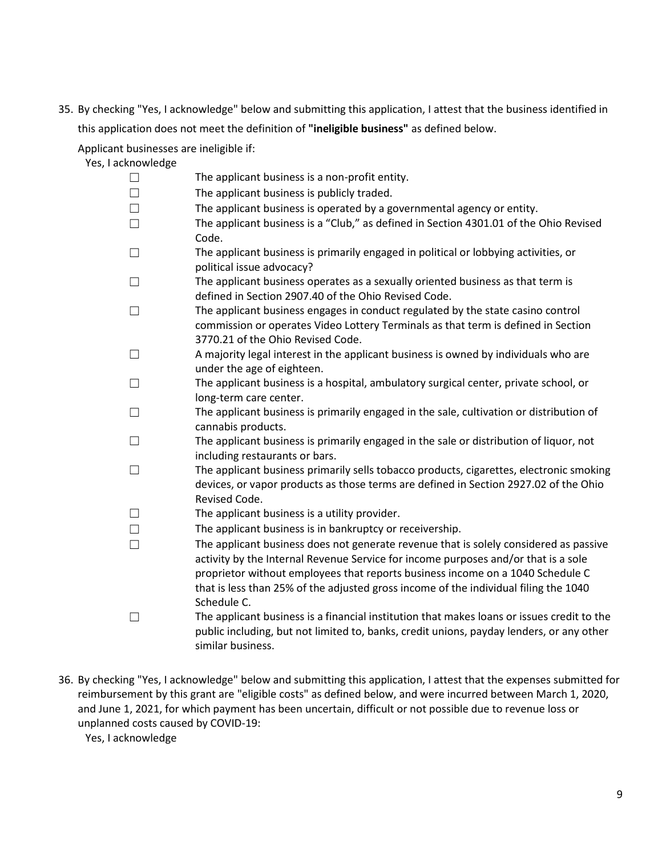35. By checking "Yes, I acknowledge" below and submitting this application, I attest that the business identified in this application does not meet the definition of **"ineligible business"** as defined below.

Applicant businesses are ineligible if:

- Yes, I acknowledge
	- ☐ The applicant business is a non-profit entity. ☐ The applicant business is publicly traded.  $\Box$  The applicant business is operated by a governmental agency or entity. ☐ The applicant business is a "Club," as defined in Section 4301.01 of the Ohio Revised Code. ☐ The applicant business is primarily engaged in political or lobbying activities, or political issue advocacy?  $\Box$  The applicant business operates as a sexually oriented business as that term is defined in Section 2907.40 of the Ohio Revised Code.  $\Box$  The applicant business engages in conduct regulated by the state casino control commission or operates Video Lottery Terminals as that term is defined in Section 3770.21 of the Ohio Revised Code.  $\Box$  A majority legal interest in the applicant business is owned by individuals who are under the age of eighteen. ☐ The applicant business is a hospital, ambulatory surgical center, private school, or long-term care center.  $\Box$  The applicant business is primarily engaged in the sale, cultivation or distribution of cannabis products. ☐ The applicant business is primarily engaged in the sale or distribution of liquor, not including restaurants or bars.  $\Box$  The applicant business primarily sells tobacco products, cigarettes, electronic smoking devices, or vapor products as those terms are defined in Section 2927.02 of the Ohio Revised Code.  $\Box$  The applicant business is a utility provider. ☐ The applicant business is in bankruptcy or receivership.  $\Box$  The applicant business does not generate revenue that is solely considered as passive activity by the Internal Revenue Service for income purposes and/or that is a sole proprietor without employees that reports business income on a 1040 Schedule C that is less than 25% of the adjusted gross income of the individual filing the 1040 Schedule C. ☐ The applicant business is a financial institution that makes loans or issues credit to the
		- public including, but not limited to, banks, credit unions, payday lenders, or any other similar business.
- 36. By checking "Yes, I acknowledge" below and submitting this application, I attest that the expenses submitted for reimbursement by this grant are "eligible costs" as defined below, and were incurred between March 1, 2020, and June 1, 2021, for which payment has been uncertain, difficult or not possible due to revenue loss or unplanned costs caused by COVID-19:

Yes, I acknowledge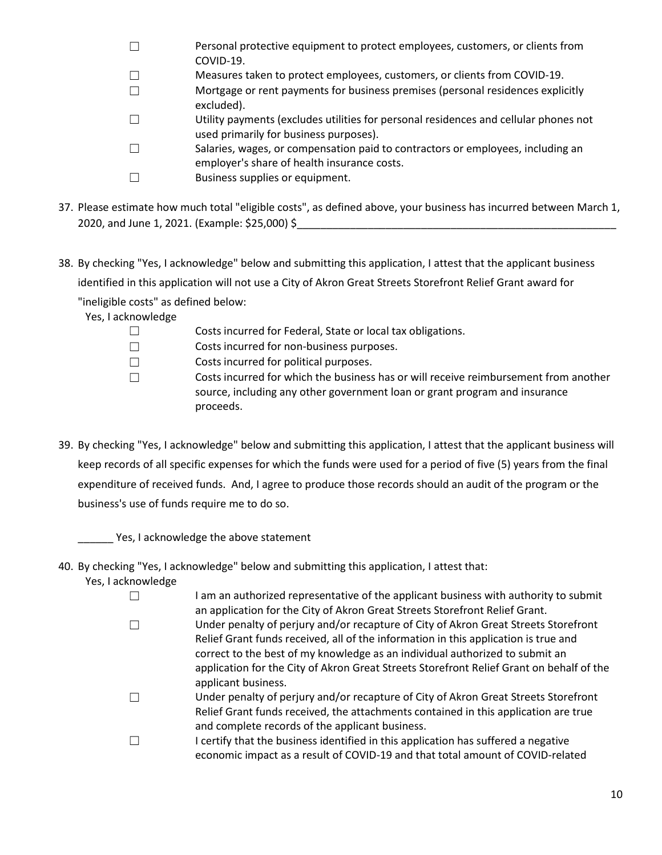- ☐ Personal protective equipment to protect employees, customers, or clients from COVID-19. ☐ Measures taken to protect employees, customers, or clients from COVID-19. ☐ Mortgage or rent payments for business premises (personal residences explicitly excluded). ☐ Utility payments (excludes utilities for personal residences and cellular phones not used primarily for business purposes).
- ☐ Salaries, wages, or compensation paid to contractors or employees, including an employer's share of health insurance costs.
- ☐ Business supplies or equipment.
- 37. Please estimate how much total "eligible costs", as defined above, your business has incurred between March 1, 2020, and June 1, 2021. (Example: \$25,000) \$
- 38. By checking "Yes, I acknowledge" below and submitting this application, I attest that the applicant business identified in this application will not use a City of Akron Great Streets Storefront Relief Grant award for

"ineligible costs" as defined below:

Yes, I acknowledge

- ☐ Costs incurred for non-business purposes.
- ☐ Costs incurred for political purposes.

☐ Costs incurred for which the business has or will receive reimbursement from another source, including any other government loan or grant program and insurance proceeds.

39. By checking "Yes, I acknowledge" below and submitting this application, I attest that the applicant business will keep records of all specific expenses for which the funds were used for a period of five (5) years from the final expenditure of received funds. And, I agree to produce those records should an audit of the program or the business's use of funds require me to do so.

\_\_\_\_\_\_ Yes, I acknowledge the above statement

- 40. By checking "Yes, I acknowledge" below and submitting this application, I attest that:
	- Yes, I acknowledge

☐ I am an authorized representative of the applicant business with authority to submit an application for the City of Akron Great Streets Storefront Relief Grant.

- ☐ Under penalty of perjury and/or recapture of City of Akron Great Streets Storefront Relief Grant funds received, all of the information in this application is true and correct to the best of my knowledge as an individual authorized to submit an application for the City of Akron Great Streets Storefront Relief Grant on behalf of the applicant business.
- ☐ Under penalty of perjury and/or recapture of City of Akron Great Streets Storefront Relief Grant funds received, the attachments contained in this application are true and complete records of the applicant business.
- $\Box$  I certify that the business identified in this application has suffered a negative economic impact as a result of COVID-19 and that total amount of COVID-related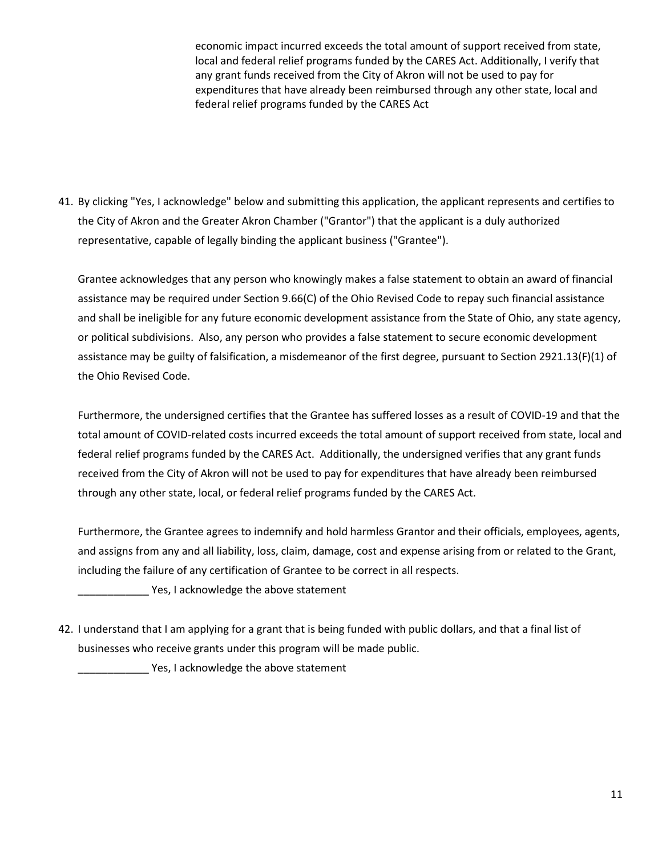economic impact incurred exceeds the total amount of support received from state, local and federal relief programs funded by the CARES Act. Additionally, I verify that any grant funds received from the City of Akron will not be used to pay for expenditures that have already been reimbursed through any other state, local and federal relief programs funded by the CARES Act

41. By clicking "Yes, I acknowledge" below and submitting this application, the applicant represents and certifies to the City of Akron and the Greater Akron Chamber ("Grantor") that the applicant is a duly authorized representative, capable of legally binding the applicant business ("Grantee").

Grantee acknowledges that any person who knowingly makes a false statement to obtain an award of financial assistance may be required under Section 9.66(C) of the Ohio Revised Code to repay such financial assistance and shall be ineligible for any future economic development assistance from the State of Ohio, any state agency, or political subdivisions. Also, any person who provides a false statement to secure economic development assistance may be guilty of falsification, a misdemeanor of the first degree, pursuant to Section 2921.13(F)(1) of the Ohio Revised Code.

Furthermore, the undersigned certifies that the Grantee has suffered losses as a result of COVID-19 and that the total amount of COVID-related costs incurred exceeds the total amount of support received from state, local and federal relief programs funded by the CARES Act. Additionally, the undersigned verifies that any grant funds received from the City of Akron will not be used to pay for expenditures that have already been reimbursed through any other state, local, or federal relief programs funded by the CARES Act.

Furthermore, the Grantee agrees to indemnify and hold harmless Grantor and their officials, employees, agents, and assigns from any and all liability, loss, claim, damage, cost and expense arising from or related to the Grant, including the failure of any certification of Grantee to be correct in all respects.

\_\_\_\_\_\_\_\_\_\_\_\_ Yes, I acknowledge the above statement

42. I understand that I am applying for a grant that is being funded with public dollars, and that a final list of businesses who receive grants under this program will be made public.

**EXECUTE:** Yes, I acknowledge the above statement